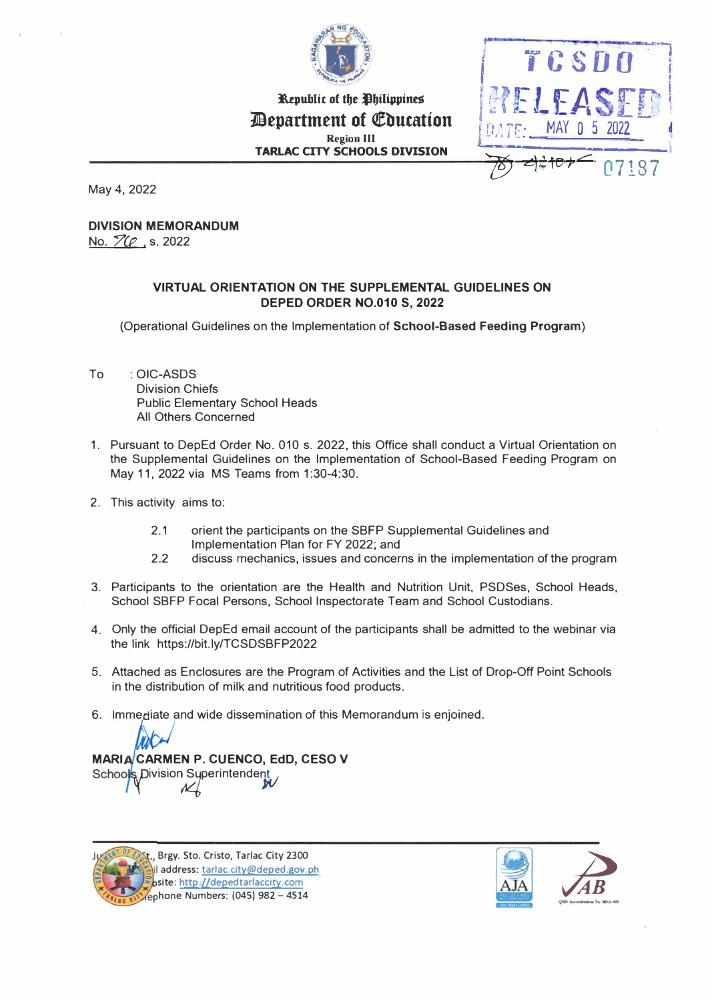

**Republic of the Philippines** *Pepartment of Education* **Region Ill TARLAC CITY SCHOOLS DIVISION** 



May 4, 2022

# **DIVISION MEMORANDUM**

No. **ZC**<sub>1</sub>s. 2022

### **VIRTUAL ORIENTATION ON THE SUPPLEMENTAL GUIDELINES ON DEPED ORDER NO.010 S, 2022**

(Operational Guidelines on the Implementation of **School-Based Feeding Program)**

- To : **OIC-ASDS**  Division Chiefs Public Elementary School Heads All Others Concerned
- 1. Pursuant to DepEd Order No. 010 s. 2022, this Office shall conduct a Virtual Orientation on the Supplemental Guidelines on the Implementation of School-Based Feeding Program on May 11, 2022 via MS Teams from 1:30-4:30.
- 2. This activity aims to:
	- 2.1 orient the participants on the SBFP Supplemental Guidelines and Implementation Plan for FY 2022; and
	- 2.2 discuss mechanics, issues and concerns in the implementation of the program
- 3. Participants to the orientation are the Health and Nutrition Unit, PSDSes, School Heads, School SBFP Focal Persons, School Inspectorate Team and School Custodians.
- 4. Only the official DepEd email account of the participants shall be admitted to the webinar via the link https://bit.ly/TCSDSBFP2022
- 5. Attached as Enclosures are the Program of Activities and the List of Drop-Off Point Schools in the distribution of milk and nutritious food products.
- 6. Immediate and wide dissemination of this Memorandum is enjoined.

#### **MARIA CARMEN P. CUENCO, EdD, CESO V** School ivision Superintendent<br>M

**Brgy. Sto. Cristo, Tarlac** City **2300 address: tarlac.city@deped.gov.ph site:** http.//depedtarlaccity.com

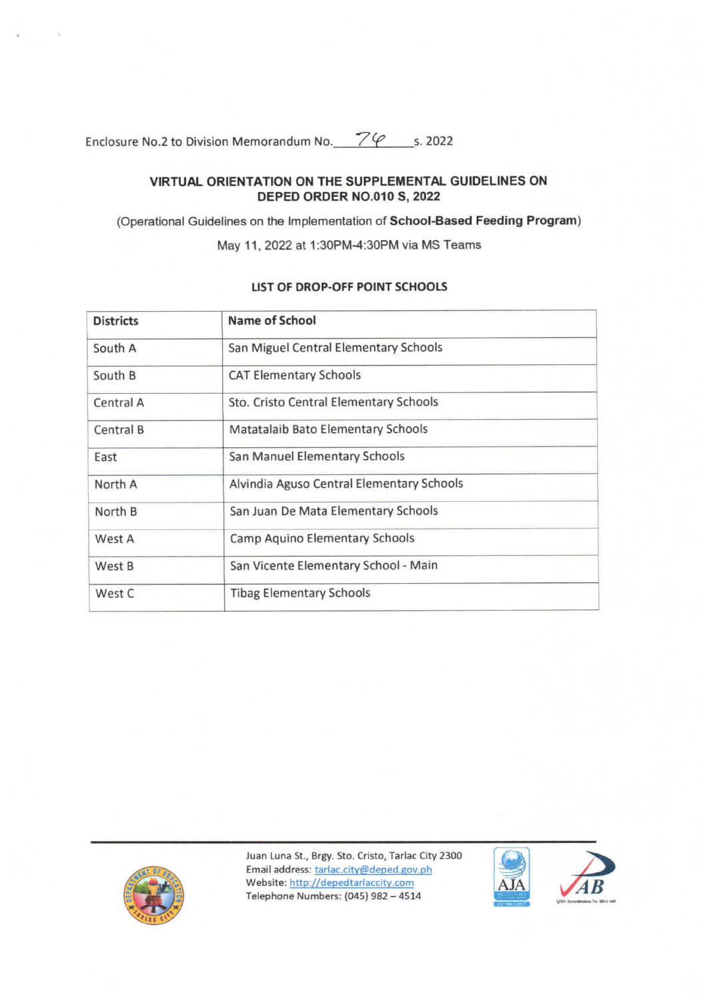Enclosure No.2 to Division Memorandum No. 79 s. 2022

#### VIRTUAL ORIENTATION ON THE SUPPLEMENTAL GUIDELINES ON DEPED ORDER NO.010 S, 2022

(Operational Guidelines on the Implementation of School-Based Feeding Program)

May 11, 2022 at 1:30PM-4:30PM via MS Teams

| <b>Districts</b> | Name of School                            |  |
|------------------|-------------------------------------------|--|
| South A          | San Miguel Central Elementary Schools     |  |
| South B          | <b>CAT Elementary Schools</b>             |  |
| Central A        | Sto. Cristo Central Elementary Schools    |  |
| Central B        | Matatalaib Bato Elementary Schools        |  |
| East             | San Manuel Elementary Schools             |  |
| North A          | Alvindia Aguso Central Elementary Schools |  |
| North B          | San Juan De Mata Elementary Schools       |  |
| West A           | Camp Aquino Elementary Schools            |  |
| West B           | San Vicente Elementary School - Main      |  |
| West C           | <b>Tibag Elementary Schools</b>           |  |

## LIST OF DROP-OFF POINT SCHOOLS



Juan Luna St., Brgy. Sto. Cristo, Tarlac City 2300 Email address: tarlac.city@deped.gov.ph Website: http://depedtarlaccity.com Telephone Numbers: (045) 982 - 4514